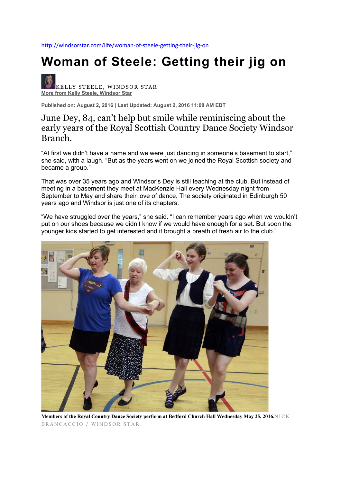http://windsorstar.com/life/woman-of-steele-getting-their-jig-on

## **Woman of Steele: Getting their jig on**

KELLY STEELE, WINDSOR STAR **More from Kelly Steele, Windsor Star**

**Published on: August 2, 2016 | Last Updated: August 2, 2016 11:08 AM EDT**

## June Dey, 84, can't help but smile while reminiscing about the early years of the Royal Scottish Country Dance Society Windsor Branch.

"At first we didn't have a name and we were just dancing in someone's basement to start," she said, with a laugh. "But as the years went on we joined the Royal Scottish society and became a group."

That was over 35 years ago and Windsor's Dey is still teaching at the club. But instead of meeting in a basement they meet at MacKenzie Hall every Wednesday night from September to May and share their love of dance. The society originated in Edinburgh 50 years ago and Windsor is just one of its chapters.

"We have struggled over the years," she said. "I can remember years ago when we wouldn't put on our shoes because we didn't know if we would have enough for a set. But soon the younger kids started to get interested and it brought a breath of fresh air to the club."



**Members of the Royal Country Dance Society perform at Bedford Church Hall Wednesday May 25, 2016.**NICK BRANCACCIO / WINDSOR STAR